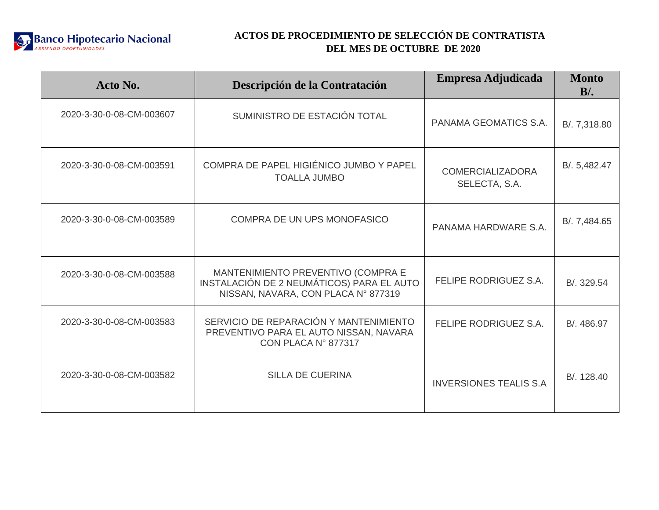

| Acto No.                 | Descripción de la Contratación                                                                                         | Empresa Adjudicada                       | <b>Monto</b><br>$B/$ . |
|--------------------------|------------------------------------------------------------------------------------------------------------------------|------------------------------------------|------------------------|
| 2020-3-30-0-08-CM-003607 | SUMINISTRO DE ESTACIÓN TOTAL                                                                                           | PANAMA GEOMATICS S.A.                    | B/. 7,318.80           |
| 2020-3-30-0-08-CM-003591 | COMPRA DE PAPEL HIGIÉNICO JUMBO Y PAPEL<br><b>TOALLA JUMBO</b>                                                         | <b>COMERCIALIZADORA</b><br>SELECTA, S.A. | B/. 5,482.47           |
| 2020-3-30-0-08-CM-003589 | <b>COMPRA DE UN UPS MONOFASICO</b>                                                                                     | PANAMA HARDWARE S.A.                     | B/. 7,484.65           |
| 2020-3-30-0-08-CM-003588 | MANTENIMIENTO PREVENTIVO (COMPRA E<br>INSTALACIÓN DE 2 NEUMÁTICOS) PARA EL AUTO<br>NISSAN, NAVARA, CON PLACA Nº 877319 | <b>FELIPE RODRIGUEZ S.A.</b>             | B/. 329.54             |
| 2020-3-30-0-08-CM-003583 | SERVICIO DE REPARACIÓN Y MANTENIMIENTO<br>PREVENTIVO PARA EL AUTO NISSAN, NAVARA<br>CON PLACA N° 877317                | FELIPE RODRIGUEZ S.A.                    | B/. 486.97             |
| 2020-3-30-0-08-CM-003582 | <b>SILLA DE CUERINA</b>                                                                                                | <b>INVERSIONES TEALIS S.A.</b>           | B/. 128.40             |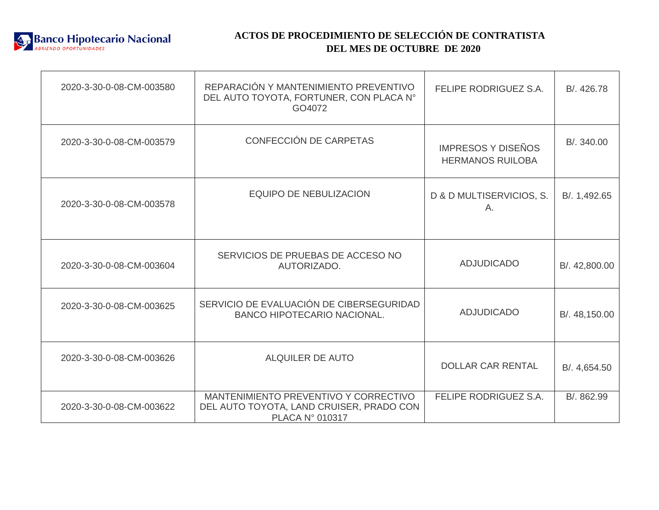

| 2020-3-30-0-08-CM-003580 | REPARACIÓN Y MANTENIMIENTO PREVENTIVO<br>DEL AUTO TOYOTA, FORTUNER, CON PLACA N°<br>GO4072                  | FELIPE RODRIGUEZ S.A.                                | B/. 426.78    |
|--------------------------|-------------------------------------------------------------------------------------------------------------|------------------------------------------------------|---------------|
| 2020-3-30-0-08-CM-003579 | CONFECCIÓN DE CARPETAS                                                                                      | <b>IMPRESOS Y DISEÑOS</b><br><b>HERMANOS RUILOBA</b> | B/. 340.00    |
| 2020-3-30-0-08-CM-003578 | <b>EQUIPO DE NEBULIZACION</b>                                                                               | D & D MULTISERVICIOS, S.<br>Α.                       | B/. 1,492.65  |
| 2020-3-30-0-08-CM-003604 | SERVICIOS DE PRUEBAS DE ACCESO NO<br>AUTORIZADO.                                                            | <b>ADJUDICADO</b>                                    | B/. 42,800.00 |
| 2020-3-30-0-08-CM-003625 | SERVICIO DE EVALUACIÓN DE CIBERSEGURIDAD<br><b>BANCO HIPOTECARIO NACIONAL.</b>                              | <b>ADJUDICADO</b>                                    | B/. 48,150.00 |
| 2020-3-30-0-08-CM-003626 | <b>ALQUILER DE AUTO</b>                                                                                     | <b>DOLLAR CAR RENTAL</b>                             | B/. 4,654.50  |
| 2020-3-30-0-08-CM-003622 | MANTENIMIENTO PREVENTIVO Y CORRECTIVO<br>DEL AUTO TOYOTA, LAND CRUISER, PRADO CON<br><b>PLACA N° 010317</b> | FELIPE RODRIGUEZ S.A.                                | B/. 862.99    |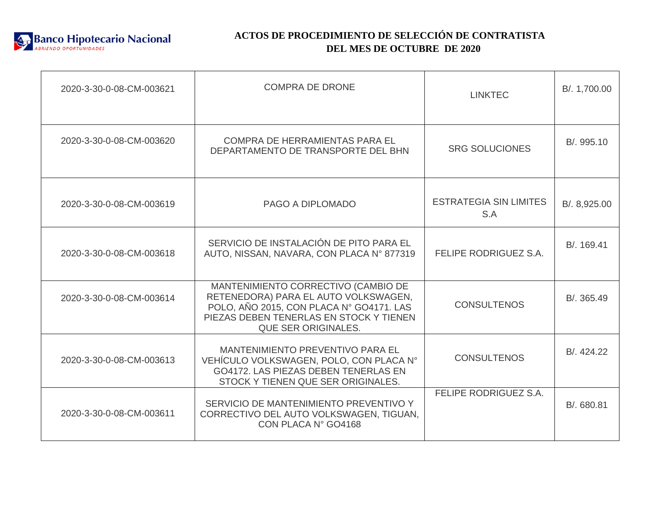

| 2020-3-30-0-08-CM-003621 | <b>COMPRA DE DRONE</b>                                                                                                                                                                           | <b>LINKTEC</b>                       | B/. 1,700.00 |
|--------------------------|--------------------------------------------------------------------------------------------------------------------------------------------------------------------------------------------------|--------------------------------------|--------------|
| 2020-3-30-0-08-CM-003620 | <b>COMPRA DE HERRAMIENTAS PARA EL</b><br>DEPARTAMENTO DE TRANSPORTE DEL BHN                                                                                                                      | <b>SRG SOLUCIONES</b>                | B/. 995.10   |
| 2020-3-30-0-08-CM-003619 | PAGO A DIPLOMADO                                                                                                                                                                                 | <b>ESTRATEGIA SIN LIMITES</b><br>S.A | B/. 8,925.00 |
| 2020-3-30-0-08-CM-003618 | SERVICIO DE INSTALACIÓN DE PITO PARA EL<br>AUTO, NISSAN, NAVARA, CON PLACA Nº 877319                                                                                                             | FELIPE RODRIGUEZ S.A.                | B/. 169.41   |
| 2020-3-30-0-08-CM-003614 | MANTENIMIENTO CORRECTIVO (CAMBIO DE<br>RETENEDORA) PARA EL AUTO VOLKSWAGEN,<br>POLO, AÑO 2015, CON PLACA Nº GO4171. LAS<br>PIEZAS DEBEN TENERLAS EN STOCK Y TIENEN<br><b>QUE SER ORIGINALES.</b> | <b>CONSULTENOS</b>                   | B/. 365.49   |
| 2020-3-30-0-08-CM-003613 | MANTENIMIENTO PREVENTIVO PARA EL<br>VEHÍCULO VOLKSWAGEN, POLO, CON PLACA Nº<br>GO4172. LAS PIEZAS DEBEN TENERLAS EN<br>STOCK Y TIENEN QUE SER ORIGINALES.                                        | <b>CONSULTENOS</b>                   | B/. 424.22   |
| 2020-3-30-0-08-CM-003611 | SERVICIO DE MANTENIMIENTO PREVENTIVO Y<br>CORRECTIVO DEL AUTO VOLKSWAGEN, TIGUAN,<br>CON PLACA N° GO4168                                                                                         | FELIPE RODRIGUEZ S.A.                | B/. 680.81   |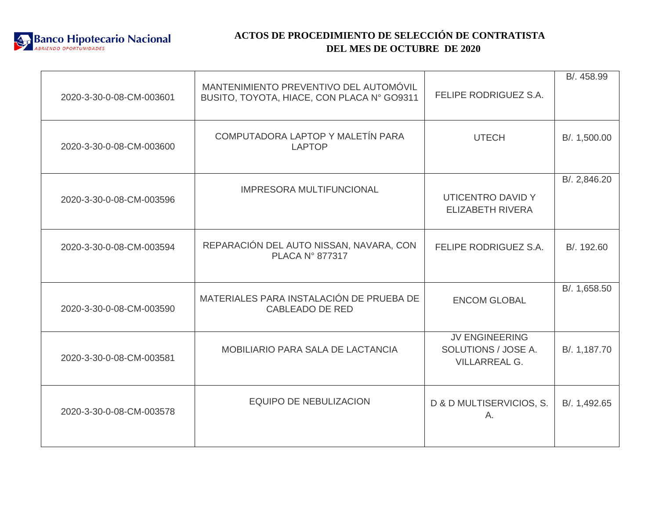

| 2020-3-30-0-08-CM-003601 | MANTENIMIENTO PREVENTIVO DEL AUTOMÓVIL<br>BUSITO, TOYOTA, HIACE, CON PLACA N° GO9311 | FELIPE RODRIGUEZ S.A.                                                | B/. 458.99   |
|--------------------------|--------------------------------------------------------------------------------------|----------------------------------------------------------------------|--------------|
| 2020-3-30-0-08-CM-003600 | COMPUTADORA LAPTOP Y MALETÍN PARA<br><b>LAPTOP</b>                                   | <b>UTECH</b>                                                         | B/. 1,500.00 |
| 2020-3-30-0-08-CM-003596 | <b>IMPRESORA MULTIFUNCIONAL</b>                                                      | UTICENTRO DAVID Y<br><b>ELIZABETH RIVERA</b>                         | B/. 2,846.20 |
| 2020-3-30-0-08-CM-003594 | REPARACIÓN DEL AUTO NISSAN, NAVARA, CON<br><b>PLACA N° 877317</b>                    | FELIPE RODRIGUEZ S.A.                                                | B/. 192.60   |
| 2020-3-30-0-08-CM-003590 | MATERIALES PARA INSTALACIÓN DE PRUEBA DE<br><b>CABLEADO DE RED</b>                   | <b>ENCOM GLOBAL</b>                                                  | B/. 1,658.50 |
| 2020-3-30-0-08-CM-003581 | MOBILIARIO PARA SALA DE LACTANCIA                                                    | <b>JV ENGINEERING</b><br>SOLUTIONS / JOSE A.<br><b>VILLARREAL G.</b> | B/. 1,187.70 |
| 2020-3-30-0-08-CM-003578 | <b>EQUIPO DE NEBULIZACION</b>                                                        | D & D MULTISERVICIOS, S.<br>A.                                       | B/. 1,492.65 |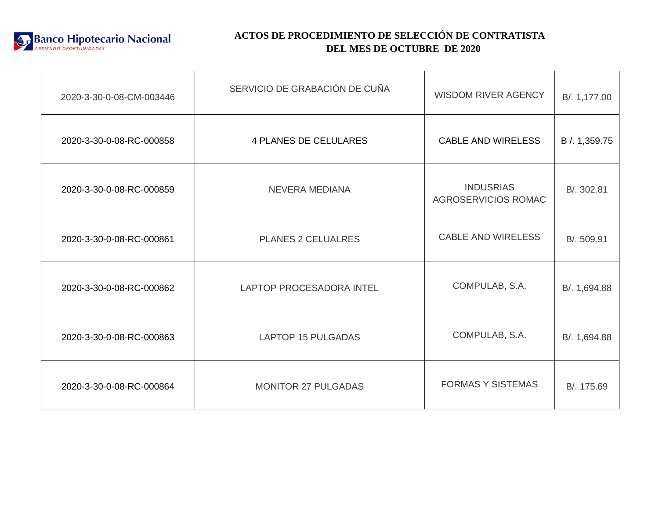

| 2020-3-30-0-08-CM-003446 | SERVICIO DE GRABACIÓN DE CUÑA   | <b>WISDOM RIVER AGENCY</b>              | B/. 1,177.00 |
|--------------------------|---------------------------------|-----------------------------------------|--------------|
| 2020-3-30-0-08-RC-000858 | <b>4 PLANES DE CELULARES</b>    | <b>CABLE AND WIRELESS</b>               | B / 1,359.75 |
| 2020-3-30-0-08-RC-000859 | <b>NEVERA MEDIANA</b>           | <b>INDUSRIAS</b><br>AGROSERVICIOS ROMAC | B/. 302.81   |
| 2020-3-30-0-08-RC-000861 | <b>PLANES 2 CELUALRES</b>       | <b>CABLE AND WIRELESS</b>               | B/. 509.91   |
| 2020-3-30-0-08-RC-000862 | <b>LAPTOP PROCESADORA INTEL</b> | COMPULAB, S.A.                          | B/. 1,694.88 |
| 2020-3-30-0-08-RC-000863 | <b>LAPTOP 15 PULGADAS</b>       | COMPULAB, S.A.                          | B/. 1,694.88 |
| 2020-3-30-0-08-RC-000864 | <b>MONITOR 27 PULGADAS</b>      | <b>FORMAS Y SISTEMAS</b>                | B/. 175.69   |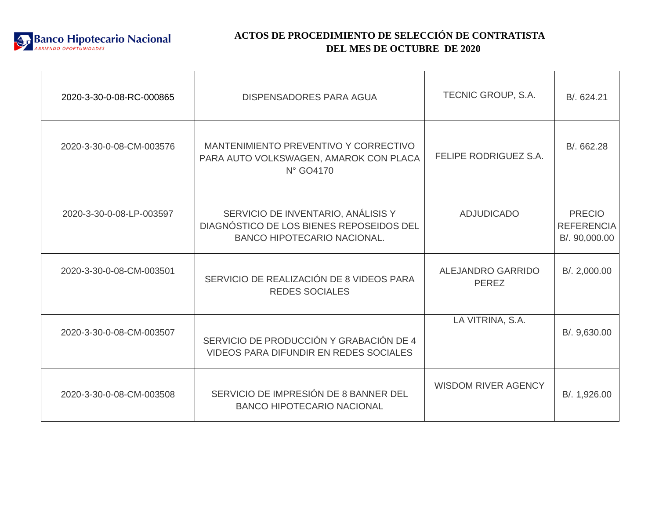

| 2020-3-30-0-08-RC-000865 | <b>DISPENSADORES PARA AGUA</b>                                                                                       | TECNIC GROUP, S.A.                | B/. 624.21                                          |
|--------------------------|----------------------------------------------------------------------------------------------------------------------|-----------------------------------|-----------------------------------------------------|
| 2020-3-30-0-08-CM-003576 | MANTENIMIENTO PREVENTIVO Y CORRECTIVO<br>PARA AUTO VOLKSWAGEN, AMAROK CON PLACA<br>N° GO4170                         | <b>FELIPE RODRIGUEZ S.A.</b>      | B/. 662.28                                          |
| 2020-3-30-0-08-LP-003597 | SERVICIO DE INVENTARIO, ANÁLISIS Y<br>DIAGNÓSTICO DE LOS BIENES REPOSEIDOS DEL<br><b>BANCO HIPOTECARIO NACIONAL.</b> | <b>ADJUDICADO</b>                 | <b>PRECIO</b><br><b>REFERENCIA</b><br>B/. 90,000.00 |
| 2020-3-30-0-08-CM-003501 | SERVICIO DE REALIZACIÓN DE 8 VIDEOS PARA<br><b>REDES SOCIALES</b>                                                    | ALEJANDRO GARRIDO<br><b>PEREZ</b> | B/. 2,000.00                                        |
| 2020-3-30-0-08-CM-003507 | SERVICIO DE PRODUCCIÓN Y GRABACIÓN DE 4<br><b>VIDEOS PARA DIFUNDIR EN REDES SOCIALES</b>                             | LA VITRINA, S.A.                  | B/. 9,630.00                                        |
| 2020-3-30-0-08-CM-003508 | SERVICIO DE IMPRESIÓN DE 8 BANNER DEL<br><b>BANCO HIPOTECARIO NACIONAL</b>                                           | <b>WISDOM RIVER AGENCY</b>        | B/. 1,926.00                                        |